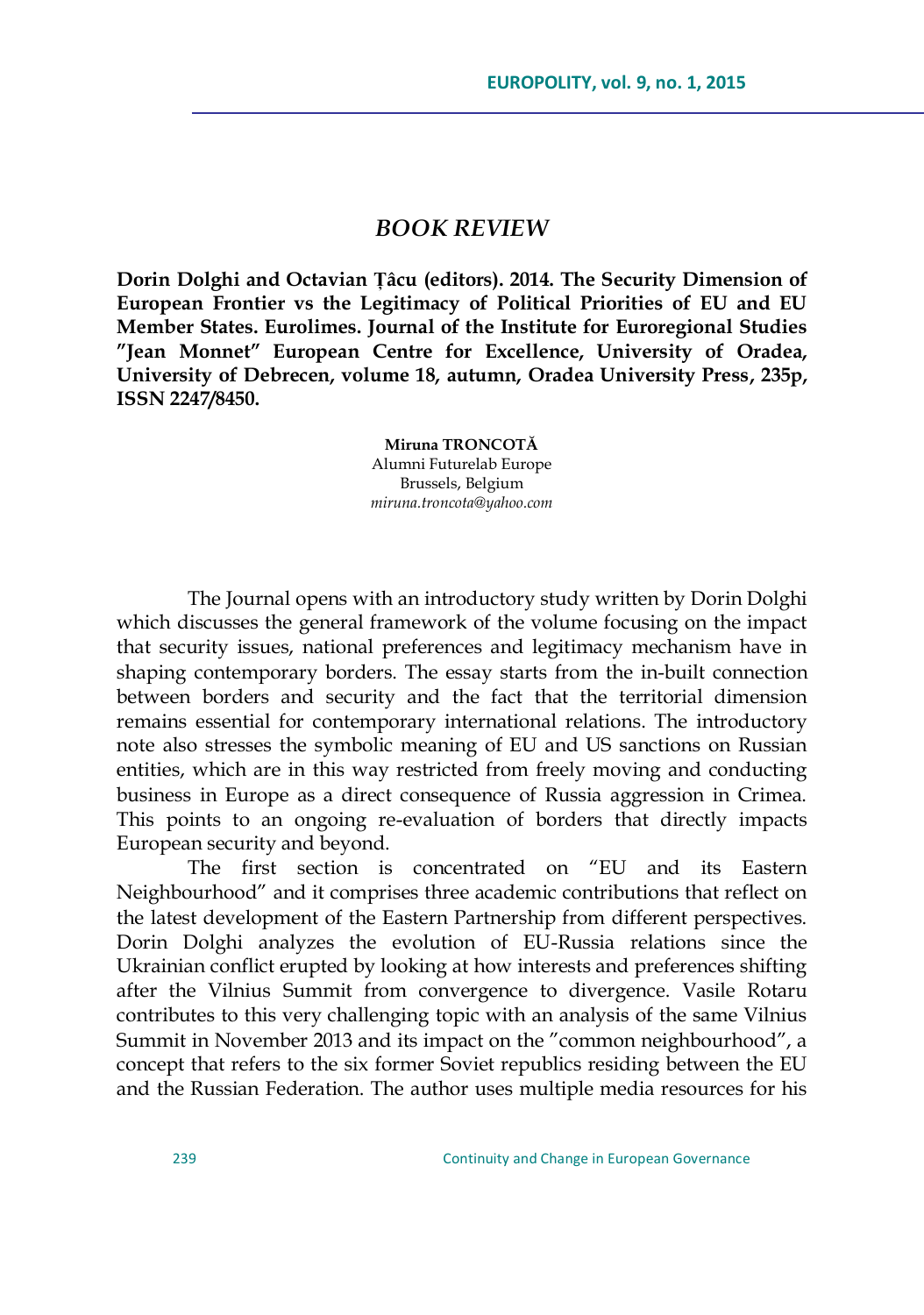## *BOOK REVIEW*

**Dorin Dolghi and Octavian Țâcu (editors). 2014. The Security Dimension of European Frontier vs the Legitimacy of Political Priorities of EU and EU Member States. Eurolimes. Journal of the Institute for Euroregional Studies "Jean Monnet" European Centre for Excellence, University of Oradea, University of Debrecen, volume 18, autumn, Oradea University Press, 235p, ISSN 2247/8450.**

> **Miruna TRONCOTĂ** Alumni Futurelab Europe Brussels, Belgium *[miruna.troncota@yahoo.com](mailto:miruna.troncota@yahoo.com)*

The Journal opens with an introductory study written by Dorin Dolghi which discusses the general framework of the volume focusing on the impact that security issues, national preferences and legitimacy mechanism have in shaping contemporary borders. The essay starts from the in-built connection between borders and security and the fact that the territorial dimension remains essential for contemporary international relations. The introductory note also stresses the symbolic meaning of EU and US sanctions on Russian entities, which are in this way restricted from freely moving and conducting business in Europe as a direct consequence of Russia aggression in Crimea. This points to an ongoing re-evaluation of borders that directly impacts European security and beyond.

The first section is concentrated on "EU and its Eastern Neighbourhood" and it comprises three academic contributions that reflect on the latest development of the Eastern Partnership from different perspectives. Dorin Dolghi analyzes the evolution of EU-Russia relations since the Ukrainian conflict erupted by looking at how interests and preferences shifting after the Vilnius Summit from convergence to divergence. Vasile Rotaru contributes to this very challenging topic with an analysis of the same Vilnius Summit in November 2013 and its impact on the "common neighbourhood", a concept that refers to the six former Soviet republics residing between the EU and the Russian Federation. The author uses multiple media resources for his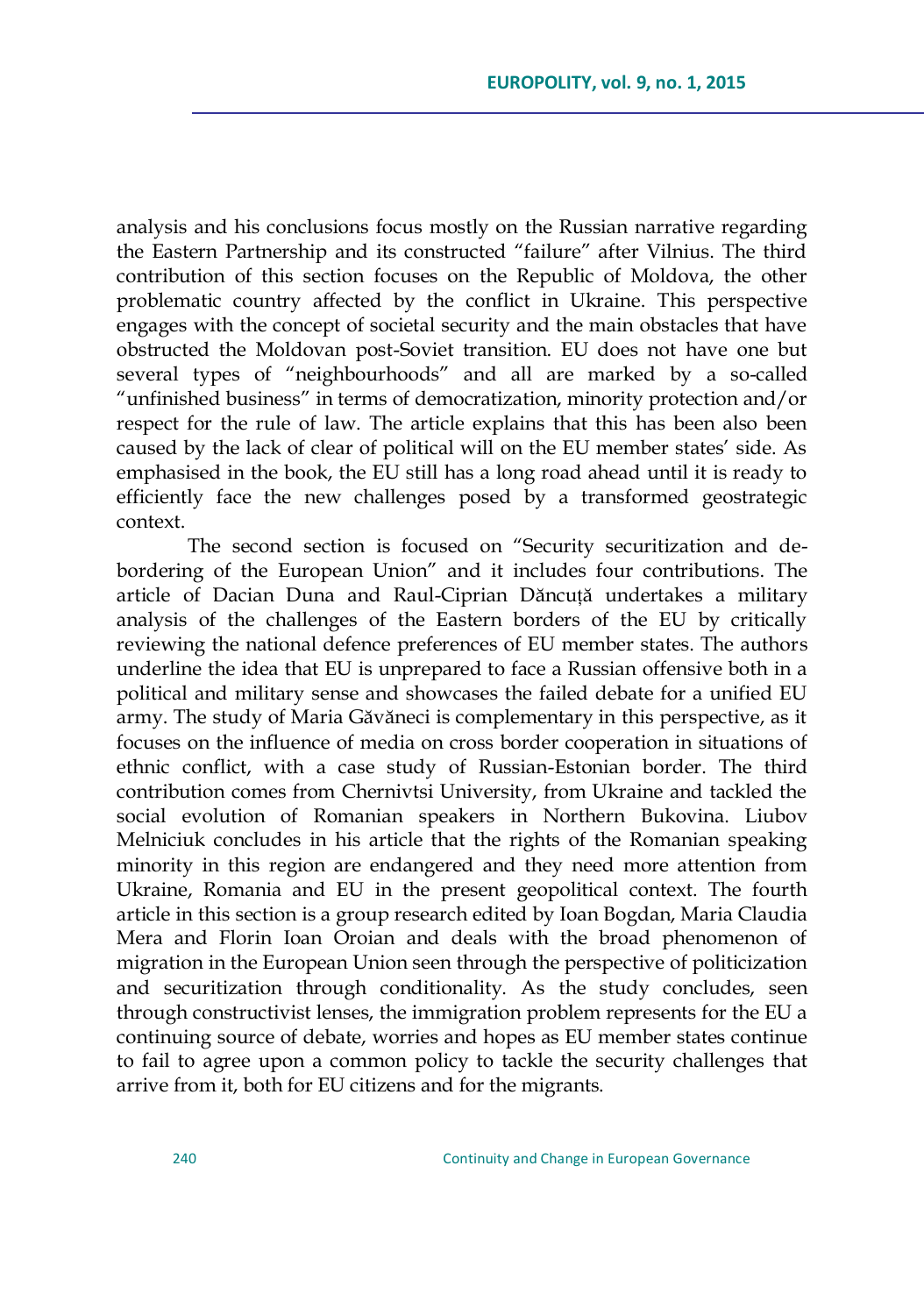analysis and his conclusions focus mostly on the Russian narrative regarding the Eastern Partnership and its constructed "failure" after Vilnius. The third contribution of this section focuses on the Republic of Moldova, the other problematic country affected by the conflict in Ukraine. This perspective engages with the concept of societal security and the main obstacles that have obstructed the Moldovan post-Soviet transition. EU does not have one but several types of "neighbourhoods" and all are marked by a so-called "unfinished business" in terms of democratization, minority protection and/or respect for the rule of law. The article explains that this has been also been caused by the lack of clear of political will on the EU member states' side. As emphasised in the book, the EU still has a long road ahead until it is ready to efficiently face the new challenges posed by a transformed geostrategic context.

The second section is focused on "Security securitization and debordering of the European Union" and it includes four contributions. The article of Dacian Duna and Raul-Ciprian Dăncuță undertakes a military analysis of the challenges of the Eastern borders of the EU by critically reviewing the national defence preferences of EU member states. The authors underline the idea that EU is unprepared to face a Russian offensive both in a political and military sense and showcases the failed debate for a unified EU army. The study of Maria Găvăneci is complementary in this perspective, as it focuses on the influence of media on cross border cooperation in situations of ethnic conflict, with a case study of Russian-Estonian border. The third contribution comes from Chernivtsi University, from Ukraine and tackled the social evolution of Romanian speakers in Northern Bukovina. Liubov Melniciuk concludes in his article that the rights of the Romanian speaking minority in this region are endangered and they need more attention from Ukraine, Romania and EU in the present geopolitical context. The fourth article in this section is a group research edited by Ioan Bogdan, Maria Claudia Mera and Florin Ioan Oroian and deals with the broad phenomenon of migration in the European Union seen through the perspective of politicization and securitization through conditionality. As the study concludes, seen through constructivist lenses, the immigration problem represents for the EU a continuing source of debate, worries and hopes as EU member states continue to fail to agree upon a common policy to tackle the security challenges that arrive from it, both for EU citizens and for the migrants.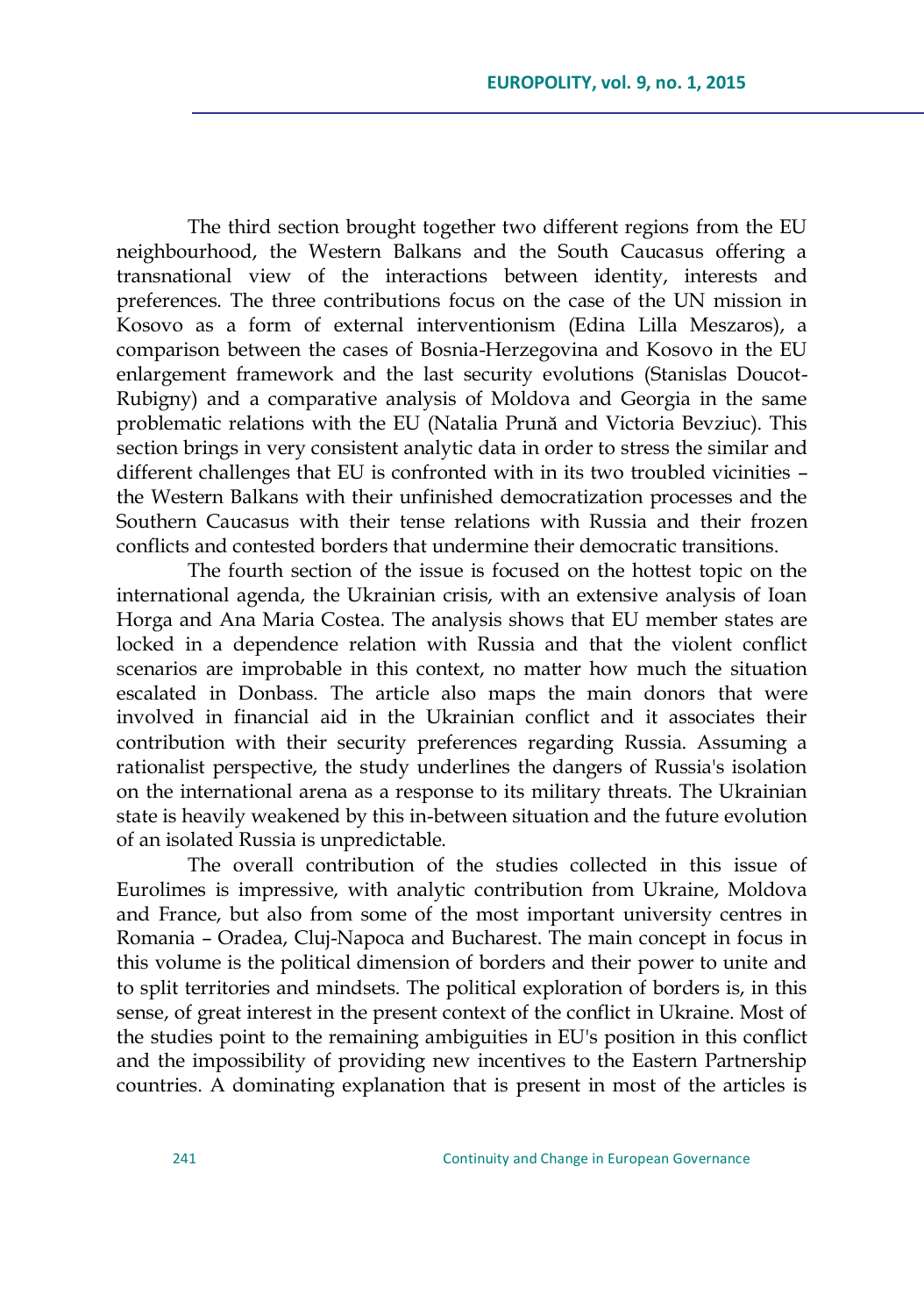The third section brought together two different regions from the EU neighbourhood, the Western Balkans and the South Caucasus offering a transnational view of the interactions between identity, interests and preferences. The three contributions focus on the case of the UN mission in Kosovo as a form of external interventionism (Edina Lilla Meszaros), a comparison between the cases of Bosnia-Herzegovina and Kosovo in the EU enlargement framework and the last security evolutions (Stanislas Doucot-Rubigny) and a comparative analysis of Moldova and Georgia in the same problematic relations with the EU (Natalia Prună and Victoria Bevziuc). This section brings in very consistent analytic data in order to stress the similar and different challenges that EU is confronted with in its two troubled vicinities – the Western Balkans with their unfinished democratization processes and the Southern Caucasus with their tense relations with Russia and their frozen conflicts and contested borders that undermine their democratic transitions.

The fourth section of the issue is focused on the hottest topic on the international agenda, the Ukrainian crisis, with an extensive analysis of Ioan Horga and Ana Maria Costea. The analysis shows that EU member states are locked in a dependence relation with Russia and that the violent conflict scenarios are improbable in this context, no matter how much the situation escalated in Donbass. The article also maps the main donors that were involved in financial aid in the Ukrainian conflict and it associates their contribution with their security preferences regarding Russia. Assuming a rationalist perspective, the study underlines the dangers of Russia's isolation on the international arena as a response to its military threats. The Ukrainian state is heavily weakened by this in-between situation and the future evolution of an isolated Russia is unpredictable.

The overall contribution of the studies collected in this issue of Eurolimes is impressive, with analytic contribution from Ukraine, Moldova and France, but also from some of the most important university centres in Romania – Oradea, Cluj-Napoca and Bucharest. The main concept in focus in this volume is the political dimension of borders and their power to unite and to split territories and mindsets. The political exploration of borders is, in this sense, of great interest in the present context of the conflict in Ukraine. Most of the studies point to the remaining ambiguities in EU's position in this conflict and the impossibility of providing new incentives to the Eastern Partnership countries. A dominating explanation that is present in most of the articles is